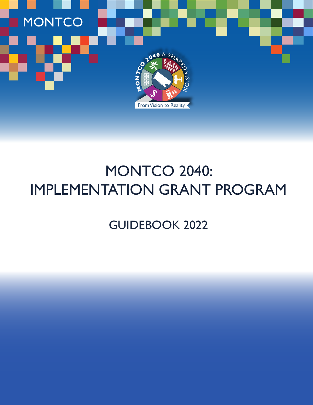

# MONTCO 2040: IMPLEMENTATION GRANT PROGRAM

GUIDEBOOK 2022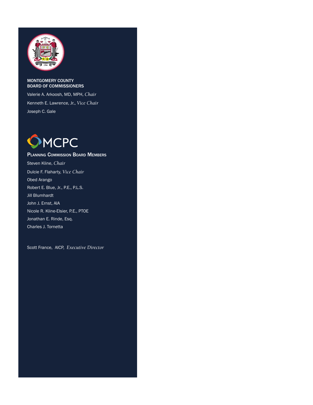

#### MONTGOMERY COUNTY BOARD OF COMMISSIONERS

Valerie A. Arkoosh, MD, MPH, *Chair* Kenneth E. Lawrence, Jr., *Vice Chair* Joseph C. Gale



#### Planning Commission Board Members Steven Kline, *Chair* Dulcie F. Flaharty, *Vice Chair* Obed Arango

Robert E. Blue, Jr., P.E., P.L.S. Jill Blumhardt John J. Ernst, AIA Nicole R. Kline-Elsier, P.E., PTOE Jonathan E. Rinde, Esq. Charles J. Tornetta

Scott France, AICP, *Executive Director*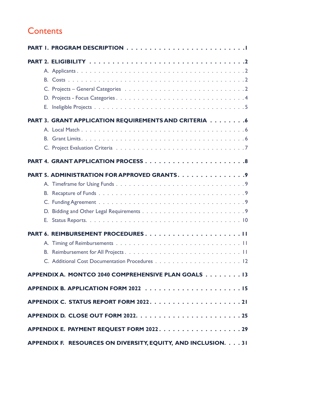### **Contents**

| PART 3. GRANT APPLICATION REQUIREMENTS AND CRITERIA 6         |  |
|---------------------------------------------------------------|--|
|                                                               |  |
| PART 5. ADMINISTRATION FOR APPROVED GRANTS. 9                 |  |
|                                                               |  |
| APPENDIX A. MONTCO 2040 COMPREHENSIVE PLAN GOALS 13           |  |
|                                                               |  |
|                                                               |  |
|                                                               |  |
| APPENDIX F. RESOURCES ON DIVERSITY, EQUITY, AND INCLUSION. 31 |  |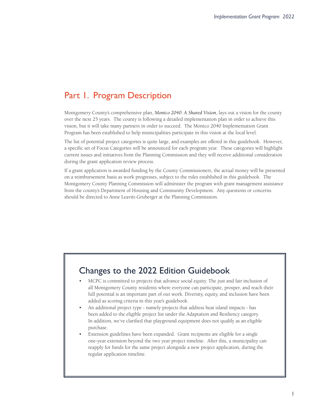### Part 1. Program Description

Montgomery County's comprehensive plan, *Montco 2040: A Shared Vision*, lays out a vision for the county over the next 25 years. The county is following a detailed implementation plan in order to achieve this vision, but it will take many partners in order to succeed. The Montco 2040 Implementation Grant Program has been established to help municipalities participate in this vision at the local level.

The list of potential project categories is quite large, and examples are offered in this guidebook. However, a specific set of Focus Categories will be announced for each program year. These categories will highlight current issues and initiatives from the Planning Commission and they will receive additional consideration during the grant application review process.

If a grant application is awarded funding by the County Commissioners, the actual money will be presented on a reimbursement basis as work progresses, subject to the rules established in this guidebook. The Montgomery County Planning Commission will administer the program with grant management assistance from the county's Department of Housing and Community Development. Any questions or concerns should be directed to Anne Leavitt-Gruberger at the Planning Commission.

### Changes to the 2022 Edition Guidebook

- MCPC is committed to projects that advance social equity. The just and fair inclusion of all Montgomery County residents where everyone can participate, prosper, and reach their full potential is an important part of our work. Diversity, equity, and inclusion have been added as scoring criteria in this year's guidebook.
- An additional project type namely projects that address heat island impacts has been added to the eligible project list under the Adaptation and Resiliency category. In addition, we've clarified that playground equipment does not qualify as an eligible purchase.
- Extension guidelines have been expanded. Grant recipients are eligible for a single one-year extension beyond the two year project timeline. After this, a municipality can reapply for funds for the same project alongside a new project application, during the regular application timeline.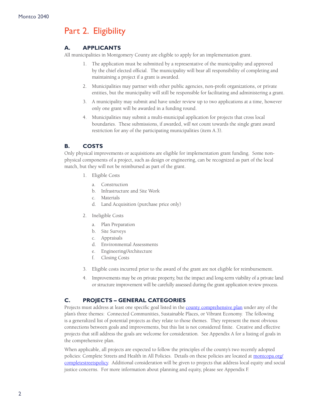### Part 2. Eligibility

#### **A. APPLICANTS**

All municipalities in Montgomery County are eligible to apply for an implementation grant.

- 1. The application must be submitted by a representative of the municipality and approved by the chief elected official. The municipality will bear all responsibility of completing and maintaining a project if a grant is awarded.
- 2. Municipalities may partner with other public agencies, non-profit organizations, or private entities, but the municipality will still be responsible for facilitating and administering a grant.
- 3. A municipality may submit and have under review up to two applications at a time, however only one grant will be awarded in a funding round.
- 4. Municipalities may submit a multi-municipal application for projects that cross local boundaries. These submissions, if awarded, *will not* count towards the single grant award restriction for any of the participating municipalities (item A.3).

#### **B. COSTS**

Only physical improvements or acquisitions are eligible for implementation grant funding. Some nonphysical components of a project, such as design or engineering, can be recognized as part of the local match, but they will not be reimbursed as part of the grant.

- 1. Eligible Costs
	- a. Construction
	- b. Infrastructure and Site Work
	- c. Materials
	- d. Land Acquisition (purchase price only)
- 2. Ineligible Costs
	- a. Plan Preparation
	- b. Site Surveys
	- c. Appraisals
	- d. Environmental Assessments
	- e. Engineering/Architecture
	- f. Closing Costs
- 3. Eligible costs incurred prior to the award of the grant are not eligible for reimbursement.
- 4. Improvements may be on private property, but the impact and long-term viability of a private land or structure improvement will be carefully assessed during the grant application review process.

#### **C. PROJECTS – GENERAL CATEGORIES**

Projects must address at least one specific goal listed in the county comprehensive plan under any of the plan's three themes: Connected Communities, Sustainable Places, or Vibrant Economy. The following is a generalized list of potential projects as they relate to those themes. They represent the most obvious connections between goals and improvements, but this list is not considered finite. Creative and effective projects that still address the goals are welcome for consideration. See Appendix A for a listing of goals in the comprehensive plan.

When applicable, all projects are expected to follow the principles of the county's two recently adopted policies: Complete Streets and Health in All Policies. Details on these policies are located at montcopa.org/ completestreetspolicy. Additional consideration will be given to projects that address local equity and social justice concerns. For more information about planning and equity, please see Appendix F.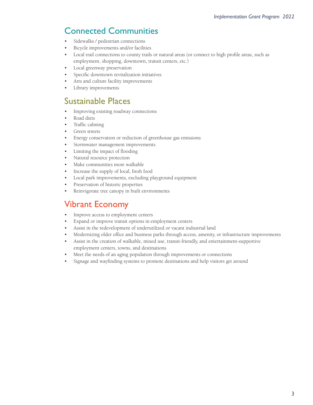### Connected Communities

- Sidewalks / pedestrian connections
- Bicycle improvements and/or facilities
- Local trail connections to county trails or natural areas (or connect to high profile areas, such as employment, shopping, downtown, transit centers, etc.)
- Local greenway preservation
- Specific downtown revitalization initiatives
- Arts and culture facility improvements
- Library improvements

### Sustainable Places

- Improving existing roadway connections
- Road diets
- Traffic calming
- Green streets
- Energy conservation or reduction of greenhouse gas emissions
- Stormwater management improvements
- Limiting the impact of flooding
- Natural resource protection
- Make communities more walkable
- Increase the supply of local, fresh food
- Local park improvements, excluding playground equipment
- Preservation of historic properties
- Reinvigorate tree canopy in built environments

### Vibrant Economy

- Improve access to employment centers
- Expand or improve transit options in employment centers
- Assist in the redevelopment of underutilized or vacant industrial land
- Modernizing older office and business parks through access, amenity, or infrastructure improvements
- Assist in the creation of walkable, mixed use, transit-friendly, and entertainment-supportive employment centers, towns, and destinations
- Meet the needs of an aging population through improvements or connections
- Signage and wayfinding systems to promote destinations and help visitors get around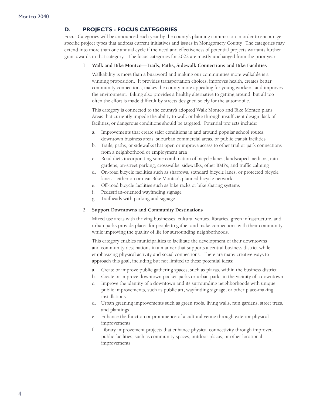#### **D. PROJECTS - FOCUS CATEGORIES**

Focus Categories will be announced each year by the county's planning commission in order to encourage specific project types that address current initiatives and issues in Montgomery County. The categories may extend into more than one annual cycle if the need and effectiveness of potential projects warrants further grant awards in that category. The focus categories for 2022 are mostly unchanged from the prior year:

#### 1. **Walk and Bike Montco—Trails, Paths, Sidewalk Connections and Bike Facilities**

Walkability is more than a buzzword and making our communities more walkable is a winning proposition. It provides transportation choices, improves health, creates better community connections, makes the county more appealing for young workers, and improves the environment. Biking also provides a healthy alternative to getting around, but all too often the effort is made difficult by streets designed solely for the automobile.

This category is connected to the county's adopted Walk Montco and Bike Montco plans. Areas that currently impede the ability to walk or bike through insufficient design, lack of facilities, or dangerous conditions should be targeted. Potential projects include:

- a. Improvements that create safer conditions in and around popular school routes, downtown business areas, suburban commercial areas, or public transit facilities
- b. Trails, paths, or sidewalks that open or improve access to other trail or park connections from a neighborhood or employment area
- c. Road diets incorporating some combination of bicycle lanes, landscaped medians, rain gardens, on-street parking, crosswalks, sidewalks, other BMPs, and traffic calming
- d. On-road bicycle facilities such as sharrows, standard bicycle lanes, or protected bicycle lanes – either on or near Bike Montco's planned bicycle network
- e. Off-road bicycle facilities such as bike racks or bike sharing systems
- f. Pedestrian-oriented wayfinding signage
- g. Trailheads with parking and signage

#### 2. **Support Downtowns and Community Destinations**

Mixed use areas with thriving businesses, cultural venues, libraries, green infrastructure, and urban parks provide places for people to gather and make connections with their community while improving the quality of life for surrounding neighborhoods.

This category enables municipalities to facilitate the development of their downtowns and community destinations in a manner that supports a central business district while emphasizing physical activity and social connections. There are many creative ways to approach this goal, including but not limited to these potential ideas:

- a. Create or improve public gathering spaces, such as plazas, within the business district
- b. Create or improve downtown pocket-parks or urban parks in the vicinity of a downtown
- c. Improve the identity of a downtown and its surrounding neighborhoods with unique public improvements, such as public art, wayfinding signage, or other place-making installations
- d. Urban greening improvements such as green roofs, living walls, rain gardens, street trees, and plantings
- e. Enhance the function or prominence of a cultural venue through exterior physical improvements
- f. Library improvement projects that enhance physical connectivity through improved public facilities, such as community spaces, outdoor plazas, or other locational improvements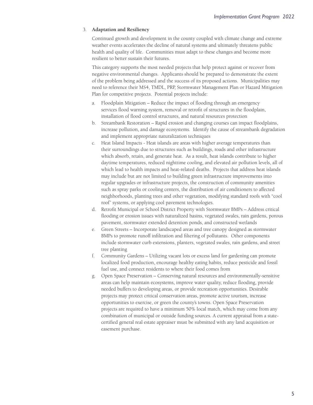#### 3. **Adaptation and Resiliency**

Continued growth and development in the county coupled with climate change and extreme weather events accelerates the decline of natural systems and ultimately threatens public health and quality of life. Communities must adapt to these changes and become more resilient to better sustain their futures.

This category supports the most needed projects that help protect against or recover from negative environmental changes. Applicants should be prepared to demonstrate the extent of the problem being addressed and the success of its proposed actions. Municipalities may need to reference their MS4, TMDL, PRP, Stormwater Management Plan or Hazard Mitigation Plan for competitive projects. Potential projects include:

- a. Floodplain Mitigation Reduce the impact of flooding through an emergency services flood warning system, removal or retrofit of structures in the floodplain, installation of flood control structures, and natural resources protection
- b. Streambank Restoration Rapid erosion and changing courses can impact floodplains, increase pollution, and damage ecosystems. Identify the cause of streambank degradation and implement appropriate naturalization techniques
- c. Heat Island Impacts Heat islands are areas with higher average temperatures than their surroundings due to structures such as buildings, roads and other infrastructure which absorb, retain, and generate heat. As a result, heat islands contribute to higher daytime temperatures, reduced nighttime cooling, and elevated air pollution levels, all of which lead to health impacts and heat-related deaths. Projects that address heat islands may include but are not limited to building green infrastructure improvements into regular upgrades or infrastructure projects, the construction of community amenities such as spray parks or cooling centers, the distribution of air conditioners to affected neighborhoods, planting trees and other vegetation, modifying standard roofs with "cool roof" systems, or applying cool pavement technologies.
- d. Retrofit Municipal or School District Property with Stormwater BMPs Address critical flooding or erosion issues with naturalized basins, vegetated swales, rain gardens, porous pavement, stormwater extended detention ponds, and constructed wetlands
- e. Green Streets Incorporate landscaped areas and tree canopy designed as stormwater BMPs to promote runoff infiltration and filtering of pollutants. Other components include stormwater curb extensions, planters, vegetated swales, rain gardens, and street tree planting
- f. Community Gardens Utilizing vacant lots or excess land for gardening can promote localized food production, encourage healthy eating habits, reduce pesticide and fossil fuel use, and connect residents to where their food comes from
- g. Open Space Preservation Conserving natural resources and environmentally-sensitive areas can help maintain ecosystems, improve water quality, reduce flooding, provide needed buffers to developing areas, or provide recreation opportunities. Desirable projects may protect critical conservation areas, promote active tourism, increase opportunities to exercise, or green the county's towns. Open Space Preservation projects are required to have a minimum 50% local match, which may come from any combination of municipal or outside funding sources. A current appraisal from a statecertified general real estate appraiser must be submitted with any land acquisition or easement purchase.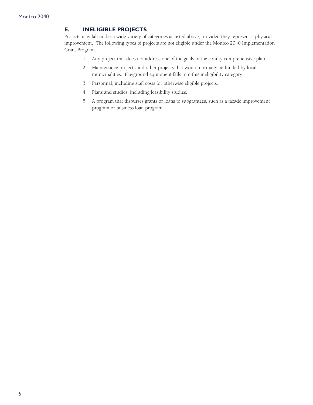#### **E. INELIGIBLE PROJECTS**

Projects may fall under a wide variety of categories as listed above, provided they represent a physical improvement. The following types of projects are not eligible under the Montco 2040 Implementation Grant Program.

- 1. Any project that does not address one of the goals in the county comprehensive plan.
- 2. Maintenance projects and other projects that would normally be funded by local municipalities. Playground equipment falls into this ineligibility category.
- 3. Personnel, including staff costs for otherwise eligible projects.
- 4. Plans and studies, including feasibility studies.
- 5. A program that disburses grants or loans to subgrantees, such as a façade improvement program or business loan program.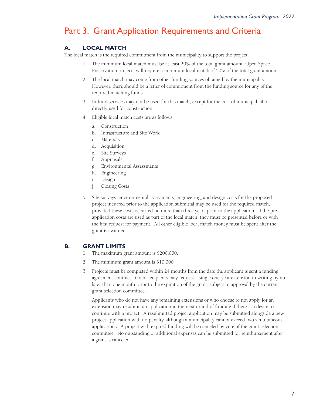### Part 3. Grant Application Requirements and Criteria

#### **A. LOCAL MATCH**

The local match is the required commitment from the municipality to support the project.

- 1. The minimum local match must be at least 20% of the total grant amount. Open Space Preservation projects will require a minimum local match of 50% of the total grant amount.
- 2. The local match may come from other funding sources obtained by the municipality. However, there should be a letter of commitment from the funding source for any of the required matching funds.
- 3. In-kind services may not be used for this match, except for the cost of municipal labor directly used for construction.
- 4. Eligible local match costs are as follows:
	- a. Construction
	- b. Infrastructure and Site Work
	- c. Materials
	- d. Acquisition
	- e. Site Surveys
	- f. Appraisals
	- g. Environmental Assessments
	- h. Engineering
	- i. Design
	- j. Closing Costs
- 5. Site surveys, environmental assessments, engineering, and design costs for the proposed project incurred prior to the application submittal may be used for the required match, provided these costs occurred no more than three years prior to the application. If the preapplication costs are used as part of the local match, they must be presented before or with the first request for payment. All other eligible local match money must be spent after the grant is awarded.

#### **B. GRANT LIMITS**

- 1. The maximum grant amount is \$200,000.
- 2. The minimum grant amount is \$10,000
- 3. Projects must be completed within 24 months from the date the applicant is sent a funding agreement contract. Grant recipients may request a single one-year extension in writing by no later than one month prior to the expiration of the grant, subject to approval by the current grant selection committee.

Applicants who do not have any remaining extensions or who choose to not apply for an extension may resubmit an application in the next round of funding if there is a desire to continue with a project. A resubmitted project application may be submitted alongside a new project application with no penalty, although a municipality cannot exceed two simultaneous applications. A project with expired funding will be canceled by vote of the grant selection committee. No outstanding or additional expenses can be submitted for reimbursement after a grant is canceled.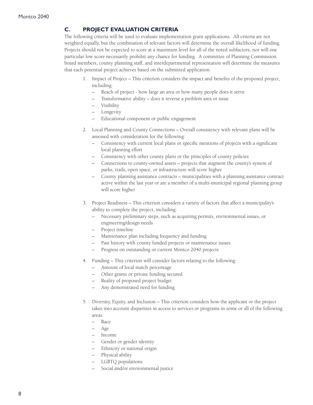#### **C. PROJECT EVALUATION CRITERIA**

The following criteria will be used to evaluate implementation grant applications. All criteria are not weighted equally, but the combination of relevant factors will determine the overall likelihood of funding. Projects should not be expected to score at a maximum level for all of the noted subfactors, nor will one particular low score necessarily prohibit any chance for funding. A committee of Planning Commission board members, county planning staff, and interdepartmental representation will determine the measures that each potential project achieves based on the submitted application.

- 1. Impact of Project This criterion considers the impact and benefits of the proposed project, including:
	- Reach of project how large an area or how many people does it serve
	- Transformative ability does it reverse a problem area or issue
	- Visibility
	- Longevity
	- Educational component or public engagement
- 2. Local Planning and County Connections Overall consistency with relevant plans will be assessed with consideration for the following:
	- Consistency with current local plans or specific mentions of projects with a significant local planning effort
	- Consistency with other county plans or the principles of county policies
	- Connections to county-owned assets projects that augment the county's system of parks, trails, open space, or infrastructure will score higher
	- County planning assistance contracts municipalities with a planning assistance contract active within the last year or are a member of a multi-municipal regional planning group will score higher
- 3. Project Readiness This criterion considers a variety of factors that affect a municipality's ability to complete the project, including:
	- Necessary preliminary steps, such as acquiring permits, environmental issues, or engineering/design needs
	- Project timeline
	- Maintenance plan including frequency and funding
	- Past history with county funded projects or maintenance issues
	- Progress on outstanding or current Montco 2040 projects
- 4. Funding This criterion will consider factors relating to the following:
	- Amount of local match percentage
	- Other grants or private funding secured
	- Reality of proposed project budget
	- Any demonstrated need for funding
- 5. Diversity, Equity, and Inclusion This criterion considers how the applicant or the project takes into account disparities in access to services or programs in some or all of the following areas:
	- Race
	- Age
	- Income
	- Gender or gender identity
	- Ethnicity or national origin
	- Physical ability
	- LGBTQ populations
	- Social and/or environmental justice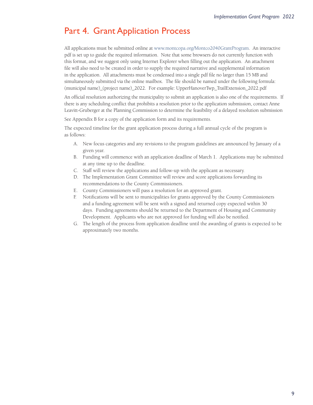### Part 4. Grant Application Process

All applications must be submitted online at www.montcopa.org/Montco2040GrantProgram. An interactive pdf is set up to guide the required information. Note that some browsers do not currently function with this format, and we suggest only using Internet Explorer when filling out the application. An attachment file will also need to be created in order to supply the required narrative and supplemental information in the application. All attachments must be condensed into a single pdf file no larger than 15 MB and simultaneously submitted via the online mailbox. The file should be named under the following formula: (municipal name)\_(project name)\_2022. For example: UpperHanoverTwp\_TrailExtension\_2022.pdf

An official resolution authorizing the municipality to submit an application is also one of the requirements. If there is any scheduling conflict that prohibits a resolution prior to the application submission, contact Anne Leavitt-Gruberger at the Planning Commission to determine the feasibility of a delayed resolution submission

See Appendix B for a copy of the application form and its requirements.

The expected timeline for the grant application process during a full annual cycle of the program is as follows:

- A. New focus categories and any revisions to the program guidelines are announced by January of a given year.
- B. Funding will commence with an application deadline of March 1. Applications may be submitted at any time up to the deadline.
- C. Staff will review the applications and follow-up with the applicant as necessary.
- D. The Implementation Grant Committee will review and score applications forwarding its recommendations to the County Commissioners.
- E. County Commissioners will pass a resolution for an approved grant.
- F. Notifications will be sent to municipalities for grants approved by the County Commissioners and a funding agreement will be sent with a signed and returned copy expected within 30 days. Funding agreements should be returned to the Department of Housing and Community Development. Applicants who are not approved for funding will also be notified.
- G. The length of the process from application deadline until the awarding of grants is expected to be approximately two months.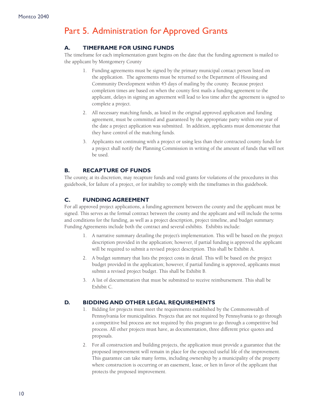### Part 5. Administration for Approved Grants

#### **A. TIMEFRAME FOR USING FUNDS**

The timeframe for each implementation grant begins on the date that the funding agreement is mailed to the applicant by Montgomery County

- 1. Funding agreements must be signed by the primary municipal contact person listed on the application. The agreements must be returned to the Department of Housing and Community Development within 45 days of mailing by the county. Because project completion times are based on when the county first mails a funding agreement to the applicant, delays in signing an agreement will lead to less time after the agreement is signed to complete a project.
- 2. All necessary matching funds, as listed in the original approved application and funding agreement, must be committed and guaranteed by the appropriate party within one year of the date a project application was submitted. In addition, applicants must demonstrate that they have control of the matching funds.
- 3. Applicants not continuing with a project or using less than their contracted county funds for a project shall notify the Planning Commission in writing of the amount of funds that will not be used.

#### **B. RECAPTURE OF FUNDS**

The county, at its discretion, may recapture funds and void grants for violations of the procedures in this guidebook, for failure of a project, or for inability to comply with the timeframes in this guidebook.

#### **C. FUNDING AGREEMENT**

For all approved project applications, a funding agreement between the county and the applicant must be signed. This serves as the formal contract between the county and the applicant and will include the terms and conditions for the funding, as well as a project description, project timeline, and budget summary. Funding Agreements include both the contract and several exhibits. Exhibits include:

- 1. A narrative summary detailing the project's implementation. This will be based on the project description provided in the application; however, if partial funding is approved the applicant will be required to submit a revised project description. This shall be Exhibit A.
- 2. A budget summary that lists the project costs in detail. This will be based on the project budget provided in the application; however, if partial funding is approved, applicants must submit a revised project budget. This shall be Exhibit B.
- 3. A list of documentation that must be submitted to receive reimbursement. This shall be Exhibit C.

#### **D. BIDDING AND OTHER LEGAL REQUIREMENTS**

- 1. Bidding for projects must meet the requirements established by the Commonwealth of Pennsylvania for municipalities. Projects that are not required by Pennsylvania to go through a competitive bid process are not required by this program to go through a competitive bid process. All other projects must have, as documentation, three different price quotes and proposals.
- 2. For all construction and building projects, the application must provide a guarantee that the proposed improvement will remain in place for the expected useful life of the improvement. This guarantee can take many forms, including ownership by a municipality of the property where construction is occurring or an easement, lease, or lien in favor of the applicant that protects the proposed improvement.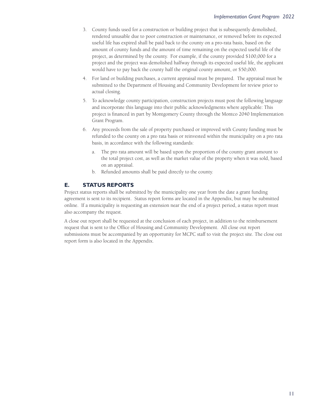- 3. County funds used for a construction or building project that is subsequently demolished, rendered unusable due to poor construction or maintenance, or removed before its expected useful life has expired shall be paid back to the county on a pro-rata basis, based on the amount of county funds and the amount of time remaining on the expected useful life of the project, as determined by the county. For example, if the county provided \$100,000 for a project and the project was demolished halfway through its expected useful life, the applicant would have to pay back the county half the original county amount, or \$50,000.
- 4. For land or building purchases, a current appraisal must be prepared. The appraisal must be submitted to the Department of Housing and Community Development for review prior to actual closing.
- 5. To acknowledge county participation, construction projects must post the following language and incorporate this language into their public acknowledgments where applicable: This project is financed in part by Montgomery County through the Montco 2040 Implementation Grant Program.
- 6. Any proceeds from the sale of property purchased or improved with County funding must be refunded to the county on a pro rata basis or reinvested within the municipality on a pro rata basis, in accordance with the following standards:
	- a. The pro rata amount will be based upon the proportion of the county grant amount to the total project cost, as well as the market value of the property when it was sold, based on an appraisal.
	- b. Refunded amounts shall be paid directly to the county.

#### **E. STATUS REPORTS**

Project status reports shall be submitted by the municipality one year from the date a grant funding agreement is sent to its recipient. Status report forms are located in the Appendix, but may be submitted online. If a municipality is requesting an extension near the end of a project period, a status report must also accompany the request.

A close out report shall be requested at the conclusion of each project, in addition to the reimbursement request that is sent to the Office of Housing and Community Development. All close out report submissions must be accompanied by an opportunity for MCPC staff to visit the project site. The close out report form is also located in the Appendix.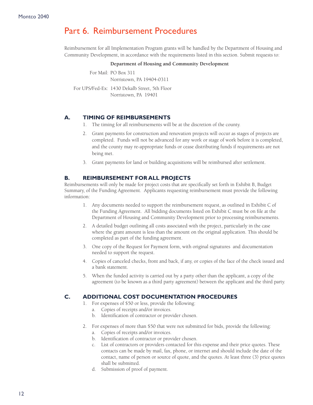### Part 6. Reimbursement Procedures

Reimbursement for all Implementation Program grants will be handled by the Department of Housing and Community Development, in accordance with the requirements listed in this section. Submit requests to:

#### **Department of Housing and Community Development**

For Mail: PO Box 311 Norristown, PA 19404-0311

For UPS/Fed-Ex: 1430 Dekalb Street, 5th Floor Norristown, PA 19401

#### **A. TIMING OF REIMBURSEMENTS**

- 1. The timing for all reimbursements will be at the discretion of the county.
- 2. Grant payments for construction and renovation projects will occur as stages of projects are completed. Funds will not be advanced for any work or stage of work before it is completed, and the county may re-appropriate funds or cease distributing funds if requirements are not being met.
- 3. Grant payments for land or building acquisitions will be reimbursed after settlement.

#### **B. REIMBURSEMENT FOR ALL PROJECTS**

Reimbursements will only be made for project costs that are specifically set forth in Exhibit B, Budget Summary, of the Funding Agreement. Applicants requesting reimbursement must provide the following information:

- 1. Any documents needed to support the reimbursement request, as outlined in Exhibit C of the Funding Agreement. All bidding documents listed on Exhibit C must be on file at the Department of Housing and Community Development prior to processing reimbursements.
- 2. A detailed budget outlining all costs associated with the project, particularly in the case where the grant amount is less than the amount on the original application. This should be completed as part of the funding agreement.
- 3. One copy of the Request for Payment form, with original signatures and documentation needed to support the request.
- 4. Copies of canceled checks, front and back, if any, or copies of the face of the check issued and a bank statement.
- 5. When the funded activity is carried out by a party other than the applicant, a copy of the agreement (to be known as a third party agreement) between the applicant and the third party.

#### **C. ADDITIONAL COST DOCUMENTATION PROCEDURES**

- 1. For expenses of \$50 or less, provide the following:
	- a. Copies of receipts and/or invoices.
	- b. Identification of contractor or provider chosen.
- 2. For expenses of more than \$50 that were not submitted for bids, provide the following:
	- a. Copies of receipts and/or invoices.
	- b. Identification of contractor or provider chosen.
	- c. List of contractors or providers contacted for this expense and their price quotes. These contacts can be made by mail, fax, phone, or internet and should include the date of the contact, name of person or source of quote, and the quotes. At least three (3) price quotes shall be submitted.
	- d. Submission of proof of payment.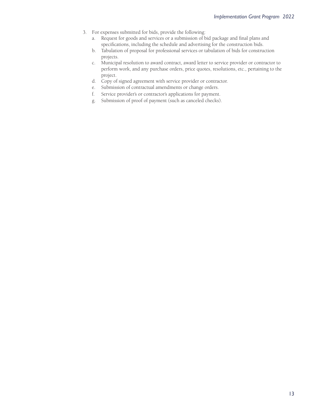- 3. For expenses submitted for bids, provide the following:
	- a. Request for goods and services or a submission of bid package and final plans and specifications, including the schedule and advertising for the construction bids.
	- b. Tabulation of proposal for professional services or tabulation of bids for construction projects.
	- c. Municipal resolution to award contract, award letter to service provider or contractor to perform work, and any purchase orders, price quotes, resolutions, etc., pertaining to the project.
	- d. Copy of signed agreement with service provider or contractor.
	- e. Submission of contractual amendments or change orders.
	- f. Service provider's or contractor's applications for payment.
	- g. Submission of proof of payment (such as canceled checks).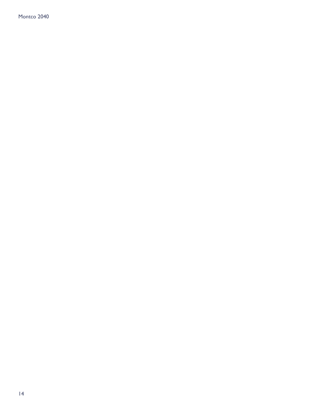Montco 2040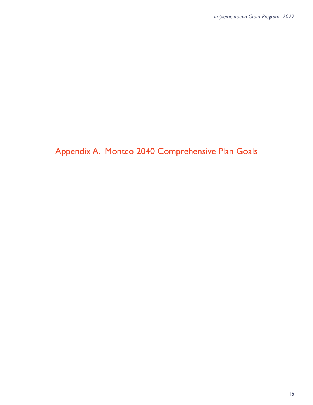Appendix A. Montco 2040 Comprehensive Plan Goals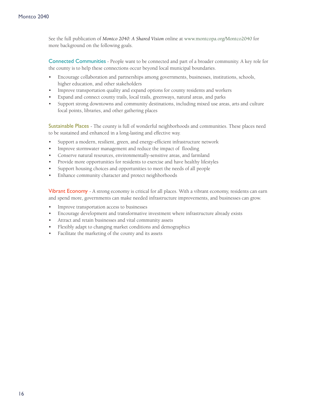See the full publication of *Montco 2040: A Shared Vision* online at www.montcopa.org/Montco2040 for more background on the following goals.

Connected Communities - People want to be connected and part of a broader community. A key role for the county is to help these connections occur beyond local municipal boundaries.

- Encourage collaboration and partnerships among governments, businesses, institutions, schools, higher education, and other stakeholders
- Improve transportation quality and expand options for county residents and workers
- Expand and connect county trails, local trails, greenways, natural areas, and parks
- Support strong downtowns and community destinations, including mixed use areas, arts and culture focal points, libraries, and other gathering places

Sustainable Places - The county is full of wonderful neighborhoods and communities. These places need to be sustained and enhanced in a long-lasting and effective way.

- Support a modern, resilient, green, and energy-efficient infrastructure network
- Improve stormwater management and reduce the impact of flooding
- Conserve natural resources, environmentally-sensitive areas, and farmland
- Provide more opportunities for residents to exercise and have healthy lifestyles
- Support housing choices and opportunities to meet the needs of all people
- Enhance community character and protect neighborhoods

Vibrant Economy - A strong economy is critical for all places. With a vibrant economy, residents can earn and spend more, governments can make needed infrastructure improvements, and businesses can grow.

- Improve transportation access to businesses
- Encourage development and transformative investment where infrastructure already exists
- Attract and retain businesses and vital community assets
- Flexibly adapt to changing market conditions and demographics
- Facilitate the marketing of the county and its assets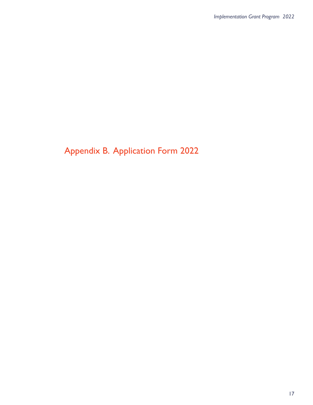# Appendix B. Application Form 2022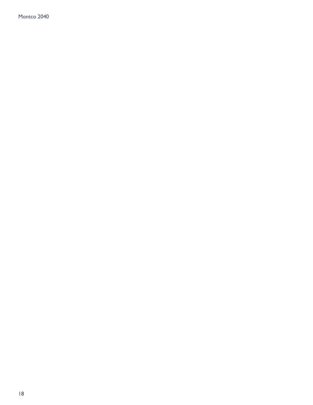Montco 2040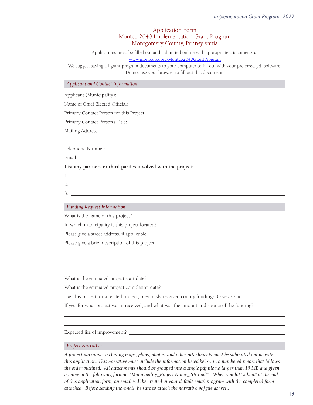#### Application Form Montco 2040 Implementation Grant Program Montgomery County, Pennsylvania

Applications must be filled out and submitted online with appropriate attachments at

www.montcopa.org/Montco2040GrantProgram

We suggest saving all grant program documents to your computer to fill out with your preferred pdf software. Do not use your browser to fill out this document.

*Applicant and Contact Information* 

| пррисат ана сонтастиропнатон                                                                   |
|------------------------------------------------------------------------------------------------|
|                                                                                                |
|                                                                                                |
|                                                                                                |
|                                                                                                |
|                                                                                                |
| Telephone Number:                                                                              |
|                                                                                                |
| List any partners or third parties involved with the project:                                  |
|                                                                                                |
| 2. $\frac{1}{2}$                                                                               |
|                                                                                                |
| <b>Funding Request Information</b>                                                             |
|                                                                                                |
|                                                                                                |
|                                                                                                |
|                                                                                                |
| ,我们也不会有什么。""我们的人,我们也不会有什么?""我们的人,我们也不会有什么?""我们的人,我们也不会有什么?""我们的人,我们也不会有什么?""我们的人               |
|                                                                                                |
|                                                                                                |
|                                                                                                |
| Has this project, or a related project, previously received county funding? O yes O no         |
| If yes, for what project was it received, and what was the amount and source of the funding? _ |

Expected life of improvement?

#### *Project Narrative*

 $\overline{a}$  $\overline{a}$ 

*A project narrative, including maps, plans, photos, and other attachments must be submitted online with this application. This narrative must include the information listed below in a numbered report that follows the order outlined. All attachments should be grouped into a single pdf file no larger than 15 MB and given a name in the following format: "Municipality\_Project Name\_20xx.pdf". When you hit 'submit' at the end of this application form, an email will be created in your default email program with the completed form attached. Before sending the email, be sure to attach the narrative pdf file as well.*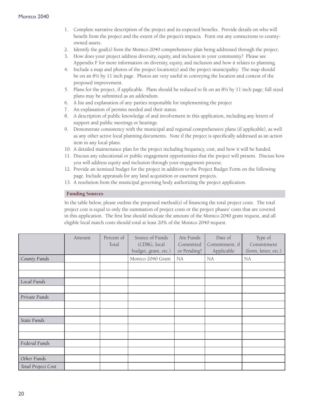- 1. Complete narrative description of the project and its expected benefits. Provide details on who will benefit from the project and the extent of the project's impacts. Point out any connections to countyowned assets.
- 2. Identify the goal(s) from the Montco 2040 comprehensive plan being addressed through the project.
- 3. How does your project address diversity, equity, and inclusion in your community? Please see Appendix F for more information on diversity, equity, and inclusion and how it relates to planning.
- 4. Include a map and photos of the project location(s) and the project municipality. The map should be on an 8½ by 11 inch page. Photos are very useful in conveying the location and context of the proposed improvement.
- 5. Plans for the project, if applicable. Plans should be reduced to fit on an 8½ by 11 inch page; full sized plans may be submitted as an addendum.
- 6. A list and explanation of any parties responsible for implementing the project
- 7. An explanation of permits needed and their status.
- 8. A description of public knowledge of and involvement in this application, including any letters of support and public meetings or hearings.
- 9. Demonstrate consistency with the municipal and regional comprehensive plans (if applicable), as well as any other active local planning documents. Note if the project is specifically addressed as an action item in any local plans.
- 10. A detailed maintenance plan for the project including frequency, cost, and how it will be funded.
- 11. Discuss any educational or public engagement opportunities that the project will present. Discuss how you will address equity and inclusion through your engagement process.
- 12. Provide an itemized budget for the project in addition to the Project Budget Form on the following page. Include appraisals for any land acquisition or easement projects.
- 13. A resolution from the municipal governing body authorizing the project application.

#### **Funding Sources**

In the table below, please outline the proposed method(s) of financing the total project costs. The total project cost is equal to only the summation of project costs or the project phases' costs that are covered in this application. The first line should indicate the amount of the Montco 2040 grant request, and all eligible local match costs should total at least 20% of the Montco 2040 request.

|                           | Amount | Percent of<br>Total | Source of Funds<br>(CDBG, local<br>budget, grant, etc.) | Are Funds<br>Committed<br>or Pending? | Date of<br>Commitment, if<br>Applicable | Type of<br>Commitment<br>(form, letter, etc.) |
|---------------------------|--------|---------------------|---------------------------------------------------------|---------------------------------------|-----------------------------------------|-----------------------------------------------|
| County Funds              |        |                     | Montco 2040 Grant                                       | NA                                    | NA                                      | NA                                            |
|                           |        |                     |                                                         |                                       |                                         |                                               |
|                           |        |                     |                                                         |                                       |                                         |                                               |
| Local Funds               |        |                     |                                                         |                                       |                                         |                                               |
|                           |        |                     |                                                         |                                       |                                         |                                               |
| Private Funds             |        |                     |                                                         |                                       |                                         |                                               |
|                           |        |                     |                                                         |                                       |                                         |                                               |
|                           |        |                     |                                                         |                                       |                                         |                                               |
| <b>State Funds</b>        |        |                     |                                                         |                                       |                                         |                                               |
|                           |        |                     |                                                         |                                       |                                         |                                               |
|                           |        |                     |                                                         |                                       |                                         |                                               |
| Federal Funds             |        |                     |                                                         |                                       |                                         |                                               |
|                           |        |                     |                                                         |                                       |                                         |                                               |
| Other Funds               |        |                     |                                                         |                                       |                                         |                                               |
| <b>Total Project Cost</b> |        |                     |                                                         |                                       |                                         |                                               |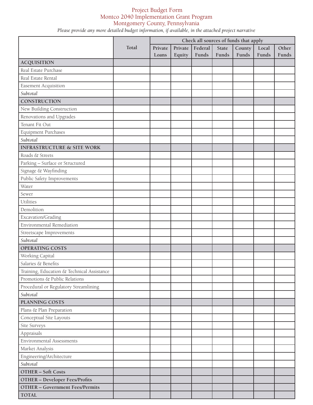#### Project Budget Form Montco 2040 Implementation Grant Program Montgomery County, Pennsylvania

*Please provide any more detailed budget information, if available, in the attached project narrative*

|                                            | Check all sources of funds that apply |         |         |         |       |        |       |       |
|--------------------------------------------|---------------------------------------|---------|---------|---------|-------|--------|-------|-------|
|                                            | Total                                 | Private | Private | Federal | State | County | Local | Other |
|                                            |                                       | Loans   | Equity  | Funds   | Funds | Funds  | Funds | Funds |
| <b>ACQUISITION</b>                         |                                       |         |         |         |       |        |       |       |
| Real Estate Purchase                       |                                       |         |         |         |       |        |       |       |
| Real Estate Rental                         |                                       |         |         |         |       |        |       |       |
| <b>Easement Acquisition</b>                |                                       |         |         |         |       |        |       |       |
| Subtotal                                   |                                       |         |         |         |       |        |       |       |
| <b>CONSTRUCTION</b>                        |                                       |         |         |         |       |        |       |       |
| New Building Construction                  |                                       |         |         |         |       |        |       |       |
| Renovations and Upgrades                   |                                       |         |         |         |       |        |       |       |
| Tenant Fit Out                             |                                       |         |         |         |       |        |       |       |
| <b>Equipment Purchases</b>                 |                                       |         |         |         |       |        |       |       |
| Subtotal                                   |                                       |         |         |         |       |        |       |       |
| <b>INFRASTRUCTURE &amp; SITE WORK</b>      |                                       |         |         |         |       |        |       |       |
| Roads & Streets                            |                                       |         |         |         |       |        |       |       |
| Parking - Surface or Structured            |                                       |         |         |         |       |        |       |       |
| Signage & Wayfinding                       |                                       |         |         |         |       |        |       |       |
| Public Safety Improvements                 |                                       |         |         |         |       |        |       |       |
| Water                                      |                                       |         |         |         |       |        |       |       |
| Sewer                                      |                                       |         |         |         |       |        |       |       |
| Utilities                                  |                                       |         |         |         |       |        |       |       |
| Demolition                                 |                                       |         |         |         |       |        |       |       |
| Excavation/Grading                         |                                       |         |         |         |       |        |       |       |
| Environmental Remediation                  |                                       |         |         |         |       |        |       |       |
| Streetscape Improvements                   |                                       |         |         |         |       |        |       |       |
| Subtotal                                   |                                       |         |         |         |       |        |       |       |
| <b>OPERATING COSTS</b>                     |                                       |         |         |         |       |        |       |       |
| Working Capital                            |                                       |         |         |         |       |        |       |       |
| Salaries & Benefits                        |                                       |         |         |         |       |        |       |       |
| Training, Education & Technical Assistance |                                       |         |         |         |       |        |       |       |
| Promotions & Public Relations              |                                       |         |         |         |       |        |       |       |
| Procedural or Regulatory Streamlining      |                                       |         |         |         |       |        |       |       |
| Subtotal                                   |                                       |         |         |         |       |        |       |       |
| <b>PLANNING COSTS</b>                      |                                       |         |         |         |       |        |       |       |
| Plans & Plan Preparation                   |                                       |         |         |         |       |        |       |       |
| Conceptual Site Layouts                    |                                       |         |         |         |       |        |       |       |
| Site Surveys                               |                                       |         |         |         |       |        |       |       |
| Appraisals                                 |                                       |         |         |         |       |        |       |       |
| <b>Environmental Assessments</b>           |                                       |         |         |         |       |        |       |       |
| Market Analysis                            |                                       |         |         |         |       |        |       |       |
| Engineering/Architecture                   |                                       |         |         |         |       |        |       |       |
| Subtotal                                   |                                       |         |         |         |       |        |       |       |
| <b>OTHER - Soft Costs</b>                  |                                       |         |         |         |       |        |       |       |
| <b>OTHER - Developer Fees/Profits</b>      |                                       |         |         |         |       |        |       |       |
| <b>OTHER - Government Fees/Permits</b>     |                                       |         |         |         |       |        |       |       |
| <b>TOTAL</b>                               |                                       |         |         |         |       |        |       |       |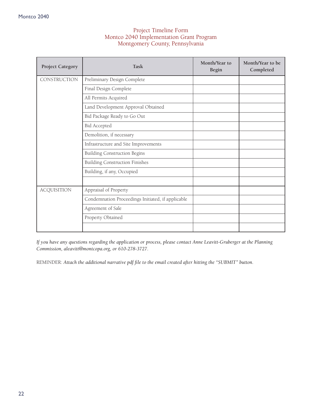#### Project Timeline Form Montco 2040 Implementation Grant Program Montgomery County, Pennsylvania

| <b>Project Category</b> | Task                                              | Month/Year to<br><b>Begin</b> | Month/Year to be<br>Completed |
|-------------------------|---------------------------------------------------|-------------------------------|-------------------------------|
| CONSTRUCTION            | Preliminary Design Complete                       |                               |                               |
|                         | Final Design Complete                             |                               |                               |
|                         | All Permits Acquired                              |                               |                               |
|                         | Land Development Approval Obtained                |                               |                               |
|                         | Bid Package Ready to Go Out                       |                               |                               |
|                         | <b>Bid Accepted</b>                               |                               |                               |
|                         | Demolition, if necessary                          |                               |                               |
|                         | Infrastructure and Site Improvements              |                               |                               |
|                         | <b>Building Construction Begins</b>               |                               |                               |
|                         | <b>Building Construction Finishes</b>             |                               |                               |
|                         | Building, if any, Occupied                        |                               |                               |
|                         |                                                   |                               |                               |
| <b>ACQUISITION</b>      | Appraisal of Property                             |                               |                               |
|                         | Condemnation Proceedings Initiated, if applicable |                               |                               |
|                         | Agreement of Sale                                 |                               |                               |
|                         | Property Obtained                                 |                               |                               |
|                         |                                                   |                               |                               |

*If you have any questions regarding the application or process, please contact Anne Leavitt-Gruberger at the Planning Commission, aleavitt@montcopa.org, or 610-278-3727.*

REMINDER: *Attach the additional narrative pdf file to the email created after hitting the "SUBMIT" button.*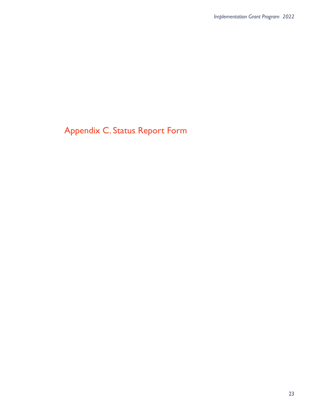# Appendix C. Status Report Form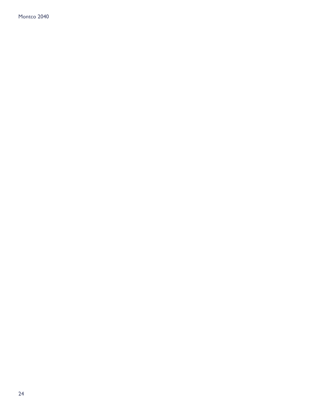Montco 2040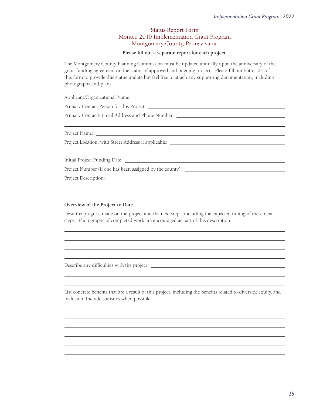#### Status Report Form Montco 2040 Implementation Grant Program Montgomery County, Pennsylvania

#### **Please fill out a separate report for each project.**

The Montgomery County Planning Commission must be updated annually upon the anniversary of the grant funding agreement on the status of approved and ongoing projects. Please fill out both sides of this form to provide this status update but feel free to attach any supporting documentation, including photographs and plans.

Applicant/Organizational Name:

Primary Contact Person for this Project:

Primary Contact's Email Address and Phone Number: \_\_\_\_\_\_\_\_\_\_\_\_\_\_\_\_\_\_\_\_\_\_\_\_\_\_\_\_\_\_\_

Project Name:

 $\overline{a}$ 

 $\overline{a}$ 

 $\overline{a}$  $\overline{a}$ 

 $\overline{a}$  $\overline{a}$  $\overline{a}$  $\overline{a}$ 

 $\overline{a}$  $\overline{a}$ 

 $\overline{a}$  $\overline{a}$  $\overline{a}$  $\overline{a}$  $\overline{a}$  $\overline{a}$ 

Project Location, with Street Address if applicable:

Initial Project Funding Date:

Project Number (if one has been assigned by the county): \_\_\_\_\_\_\_\_\_\_\_\_\_\_\_\_\_\_\_\_\_\_\_\_

Project Description:

#### **Overview of the Project to Date**

Describe progress made on the project and the next steps, including the expected timing of these next steps. Photographs of completed work are encouraged as part of this description..

Describe any difficulties with the project.

List concrete benefits that are a result of this project, including the benefits related to diversity, equity, and inclusion. Include statistics when possible.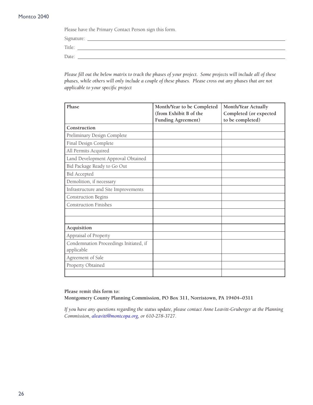Please have the Primary Contact Person sign this form.

| Signature: |  |
|------------|--|
| Title:     |  |
| Date:      |  |

*Please fill out the below matrix to track the phases of your project. Some projects will include all of these phases, while others will only include a couple of these phases. Please cross out any phases that are not applicable to your specific project*

| Phase                                  | Month/Year to be Completed<br>(from Exhibit B of the | Month/Year Actually<br>Completed (or expected |
|----------------------------------------|------------------------------------------------------|-----------------------------------------------|
| Construction                           | <b>Funding Agreement)</b>                            | to be completed)                              |
|                                        |                                                      |                                               |
| Preliminary Design Complete            |                                                      |                                               |
| Final Design Complete                  |                                                      |                                               |
| All Permits Acquired                   |                                                      |                                               |
| Land Development Approval Obtained     |                                                      |                                               |
| Bid Package Ready to Go Out            |                                                      |                                               |
| <b>Bid Accepted</b>                    |                                                      |                                               |
| Demolition, if necessary               |                                                      |                                               |
| Infrastructure and Site Improvements   |                                                      |                                               |
| Construction Begins                    |                                                      |                                               |
| <b>Construction Finishes</b>           |                                                      |                                               |
|                                        |                                                      |                                               |
|                                        |                                                      |                                               |
| Acquisition                            |                                                      |                                               |
| Appraisal of Property                  |                                                      |                                               |
| Condemnation Proceedings Initiated, if |                                                      |                                               |
| applicable                             |                                                      |                                               |
| Agreement of Sale                      |                                                      |                                               |
| Property Obtained                      |                                                      |                                               |
|                                        |                                                      |                                               |

**Please remit this form to: Montgomery County Planning Commission, PO Box 311, Norristown, PA 19404--0311**

*If you have any questions regarding the status update, please contact Anne Leavitt-Gruberger at the Planning Commission, aleavitt@montcopa.org, or 610-278-3727.*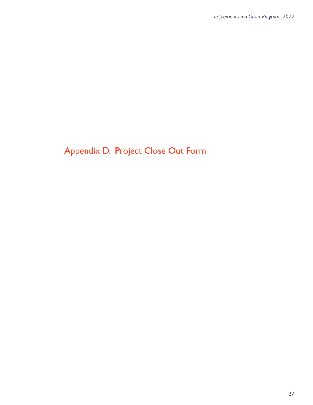## Appendix D. Project Close Out Form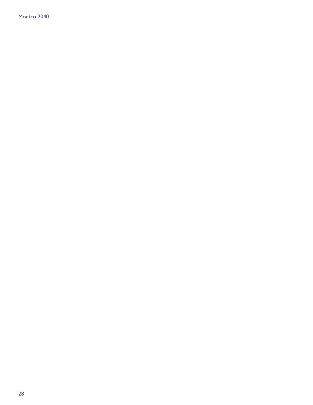Montco 2040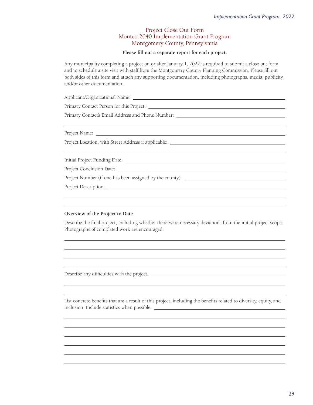#### Project Close Out Form Montco 2040 Implementation Grant Program Montgomery County, Pennsylvania

#### **Please fill out a separate report for each project.**

Any municipality completing a project on or after January 1, 2022 is required to submit a close out form and to schedule a site visit with staff from the Montgomery County Planning Commission. Please fill out both sides of this form and attach any supporting documentation, including photographs, media, publicity, and/or other documentation.

Applicant/Organizational Name:

Primary Contact Person for this Project:

Primary Contact's Email Address and Phone Number: \_\_\_\_\_\_\_\_\_\_\_\_\_\_\_\_\_\_\_\_\_\_\_\_\_\_\_\_\_\_\_

Project Name:

 $\overline{a}$ 

 $\overline{a}$ 

 $\overline{a}$  $\overline{a}$ 

 $\overline{a}$  $\overline{a}$  $\overline{a}$  $\overline{a}$ 

 $\overline{a}$  $\overline{a}$ 

 $\overline{a}$  $\overline{a}$  $\overline{a}$  $\overline{a}$  $\overline{a}$  $\overline{a}$ 

Project Location, with Street Address if applicable:

Initial Project Funding Date:

Project Conclusion Date: \_\_\_\_\_\_\_

Project Number (if one has been assigned by the county):

Project Description: <u>the contract of the contract of the contract of the contract of the contract of the contract of the contract of the contract of the contract of the contract of the contract of the contract of the cont</u>

#### **Overview of the Project to Date**

Describe the final project, including whether there were necessary deviations from the initial project scope. Photographs of completed work are encouraged.

Describe any difficulties with the project.

List concrete benefits that are a result of this project, including the benefits related to diversity, equity, and inclusion. Include statistics when possible.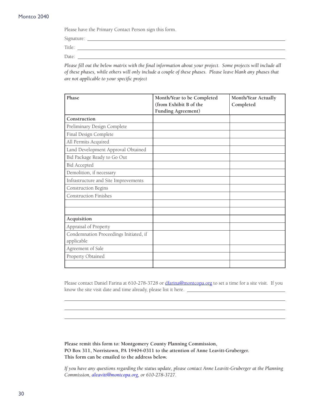Please have the Primary Contact Person sign this form.

Signature:

Title:

Date:

 $\overline{a}$  $\overline{a}$  $\overline{a}$ 

*Please fill out the below matrix with the final information about your project. Some projects will include all of these phases, while others will only include a couple of these phases. Please leave blank any phases that are not applicable to your specific project*

| Phase                                  | Month/Year to be Completed<br>(from Exhibit B of the | Month/Year Actually |
|----------------------------------------|------------------------------------------------------|---------------------|
|                                        | <b>Funding Agreement)</b>                            | Completed           |
| Construction                           |                                                      |                     |
| Preliminary Design Complete            |                                                      |                     |
| Final Design Complete                  |                                                      |                     |
| All Permits Acquired                   |                                                      |                     |
| Land Development Approval Obtained     |                                                      |                     |
| Bid Package Ready to Go Out            |                                                      |                     |
| <b>Bid Accepted</b>                    |                                                      |                     |
| Demolition, if necessary               |                                                      |                     |
| Infrastructure and Site Improvements   |                                                      |                     |
| Construction Begins                    |                                                      |                     |
| <b>Construction Finishes</b>           |                                                      |                     |
|                                        |                                                      |                     |
|                                        |                                                      |                     |
| Acquisition                            |                                                      |                     |
| Appraisal of Property                  |                                                      |                     |
| Condemnation Proceedings Initiated, if |                                                      |                     |
| applicable                             |                                                      |                     |
| Agreement of Sale                      |                                                      |                     |
| Property Obtained                      |                                                      |                     |
|                                        |                                                      |                     |

Please contact Daniel Farina at 610-278-3728 or dfarina@montcopa.org to set a time for a site visit. If you know the site visit date and time already, please list it here.

**Please remit this form to: Montgomery County Planning Commission, PO Box 311, Norristown, PA 19404-0311 to the attention of Anne Leavitt-Gruberger. This form can be emailed to the address below.** 

*If you have any questions regarding the status update, please contact Anne Leavitt-Gruberger at the Planning Commission, aleavitt@montcopa.org, or 610-278-3727.*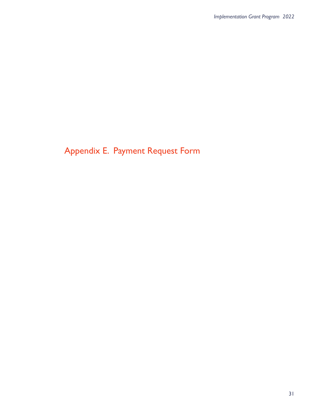# Appendix E. Payment Request Form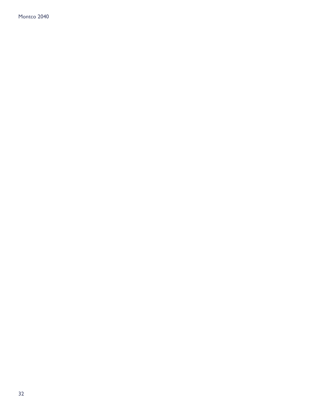Montco 2040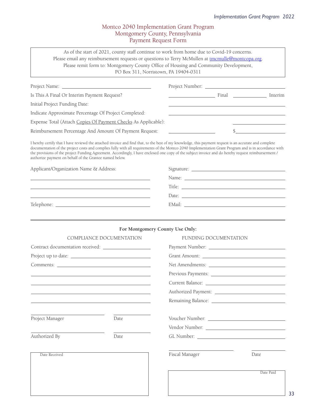#### Montco 2040 Implementation Grant Program Montgomery County, Pennsylvania Payment Request Form

As of the start of 2021, county staff continue to work from home due to Covid-19 concerns. Please email any reimbursement requests or questions to Terry McMullen at **tmcmulle@montcopa.org**. Please remit form to: Montgomery County Office of Housing and Community Development, PO Box 311, Norristown, PA 19404-0311

| Is This A Final Or Interim Payment Request?             |                                                                                                                                                                                                                               | Final Interim                                                                                                                                                                                                                                                                                                                                                                                                                                                           |                                                                                                                                                                                                                                                                                                                     |  |  |
|---------------------------------------------------------|-------------------------------------------------------------------------------------------------------------------------------------------------------------------------------------------------------------------------------|-------------------------------------------------------------------------------------------------------------------------------------------------------------------------------------------------------------------------------------------------------------------------------------------------------------------------------------------------------------------------------------------------------------------------------------------------------------------------|---------------------------------------------------------------------------------------------------------------------------------------------------------------------------------------------------------------------------------------------------------------------------------------------------------------------|--|--|
| Initial Project Funding Date:                           |                                                                                                                                                                                                                               |                                                                                                                                                                                                                                                                                                                                                                                                                                                                         |                                                                                                                                                                                                                                                                                                                     |  |  |
| Indicate Approximate Percentage Of Project Completed:   |                                                                                                                                                                                                                               |                                                                                                                                                                                                                                                                                                                                                                                                                                                                         |                                                                                                                                                                                                                                                                                                                     |  |  |
|                                                         | Expense Total (Attach Copies Of Payment Checks As Applicable):                                                                                                                                                                |                                                                                                                                                                                                                                                                                                                                                                                                                                                                         |                                                                                                                                                                                                                                                                                                                     |  |  |
|                                                         | Reimbursement Percentage And Amount Of Payment Request:                                                                                                                                                                       |                                                                                                                                                                                                                                                                                                                                                                                                                                                                         | $\frac{1}{2}$ $\frac{1}{2}$ $\frac{1}{2}$ $\frac{1}{2}$ $\frac{1}{2}$ $\frac{1}{2}$ $\frac{1}{2}$ $\frac{1}{2}$ $\frac{1}{2}$ $\frac{1}{2}$ $\frac{1}{2}$ $\frac{1}{2}$ $\frac{1}{2}$ $\frac{1}{2}$ $\frac{1}{2}$ $\frac{1}{2}$ $\frac{1}{2}$ $\frac{1}{2}$ $\frac{1}{2}$ $\frac{1}{2}$ $\frac{1}{2}$ $\frac{1}{2}$ |  |  |
| authorize payment on behalf of the Grantee named below. |                                                                                                                                                                                                                               | I hereby certify that I have reviewd the attached invoice and find that, to the best of my knowledge, this payment request is an accurate and complete<br>documentation of the project costs and complies fully with all requirements of the Montco 2040 Implementation Grant Program and is in accordance with<br>the provisions of the project Funding Agreement. Accordingly, I have enclosed one copy of the subject invoice and do hereby request reimburserment / |                                                                                                                                                                                                                                                                                                                     |  |  |
| Applicant/Organization Name & Address:                  |                                                                                                                                                                                                                               |                                                                                                                                                                                                                                                                                                                                                                                                                                                                         |                                                                                                                                                                                                                                                                                                                     |  |  |
|                                                         | the control of the control of the control of the control of the control of the control of                                                                                                                                     | Name: Name: Name: Name: Name: Name: Name: Name: Name: Name: Name: Name: Name: Name: Name: Name: Name: Name: Name: Name: Name: Name: Name: Name: Name: Name: Name: Name: Name: Name: Name: Name: Name: Name: Name: Name: Name:                                                                                                                                                                                                                                           |                                                                                                                                                                                                                                                                                                                     |  |  |
|                                                         |                                                                                                                                                                                                                               |                                                                                                                                                                                                                                                                                                                                                                                                                                                                         |                                                                                                                                                                                                                                                                                                                     |  |  |
|                                                         |                                                                                                                                                                                                                               |                                                                                                                                                                                                                                                                                                                                                                                                                                                                         |                                                                                                                                                                                                                                                                                                                     |  |  |
|                                                         |                                                                                                                                                                                                                               |                                                                                                                                                                                                                                                                                                                                                                                                                                                                         |                                                                                                                                                                                                                                                                                                                     |  |  |
|                                                         | For Montgomery County Use Only:<br>COMPLIANCE DOCUMENTATION                                                                                                                                                                   | FUNDING DOCUMENTATION                                                                                                                                                                                                                                                                                                                                                                                                                                                   |                                                                                                                                                                                                                                                                                                                     |  |  |
|                                                         |                                                                                                                                                                                                                               |                                                                                                                                                                                                                                                                                                                                                                                                                                                                         |                                                                                                                                                                                                                                                                                                                     |  |  |
|                                                         |                                                                                                                                                                                                                               |                                                                                                                                                                                                                                                                                                                                                                                                                                                                         |                                                                                                                                                                                                                                                                                                                     |  |  |
|                                                         |                                                                                                                                                                                                                               |                                                                                                                                                                                                                                                                                                                                                                                                                                                                         |                                                                                                                                                                                                                                                                                                                     |  |  |
|                                                         |                                                                                                                                                                                                                               |                                                                                                                                                                                                                                                                                                                                                                                                                                                                         |                                                                                                                                                                                                                                                                                                                     |  |  |
|                                                         | the control of the control of the control of the control of the control of the control of the control of the control of the control of the control of the control of the control of the control of the control of the control |                                                                                                                                                                                                                                                                                                                                                                                                                                                                         |                                                                                                                                                                                                                                                                                                                     |  |  |
|                                                         |                                                                                                                                                                                                                               | Authorized Payment: National Authorized Payment:                                                                                                                                                                                                                                                                                                                                                                                                                        |                                                                                                                                                                                                                                                                                                                     |  |  |
|                                                         |                                                                                                                                                                                                                               |                                                                                                                                                                                                                                                                                                                                                                                                                                                                         |                                                                                                                                                                                                                                                                                                                     |  |  |
|                                                         |                                                                                                                                                                                                                               |                                                                                                                                                                                                                                                                                                                                                                                                                                                                         |                                                                                                                                                                                                                                                                                                                     |  |  |
| Project Manager                                         | Date                                                                                                                                                                                                                          | Voucher Number:                                                                                                                                                                                                                                                                                                                                                                                                                                                         |                                                                                                                                                                                                                                                                                                                     |  |  |
|                                                         |                                                                                                                                                                                                                               |                                                                                                                                                                                                                                                                                                                                                                                                                                                                         |                                                                                                                                                                                                                                                                                                                     |  |  |
| Authorized By                                           | Date                                                                                                                                                                                                                          |                                                                                                                                                                                                                                                                                                                                                                                                                                                                         |                                                                                                                                                                                                                                                                                                                     |  |  |
|                                                         |                                                                                                                                                                                                                               |                                                                                                                                                                                                                                                                                                                                                                                                                                                                         |                                                                                                                                                                                                                                                                                                                     |  |  |
| Date Received                                           |                                                                                                                                                                                                                               | Fiscal Manager                                                                                                                                                                                                                                                                                                                                                                                                                                                          | Date                                                                                                                                                                                                                                                                                                                |  |  |
|                                                         |                                                                                                                                                                                                                               |                                                                                                                                                                                                                                                                                                                                                                                                                                                                         |                                                                                                                                                                                                                                                                                                                     |  |  |
|                                                         |                                                                                                                                                                                                                               |                                                                                                                                                                                                                                                                                                                                                                                                                                                                         | Date Paid                                                                                                                                                                                                                                                                                                           |  |  |
|                                                         |                                                                                                                                                                                                                               |                                                                                                                                                                                                                                                                                                                                                                                                                                                                         |                                                                                                                                                                                                                                                                                                                     |  |  |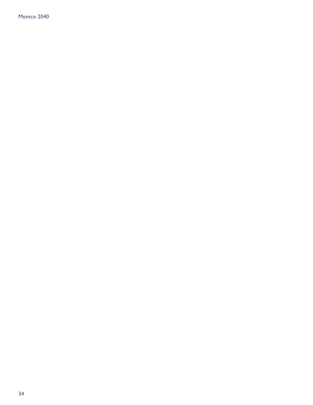Montco 2040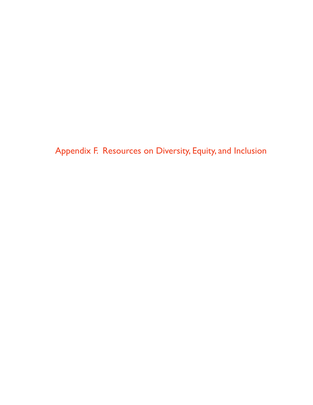Appendix F. Resources on Diversity, Equity, and Inclusion